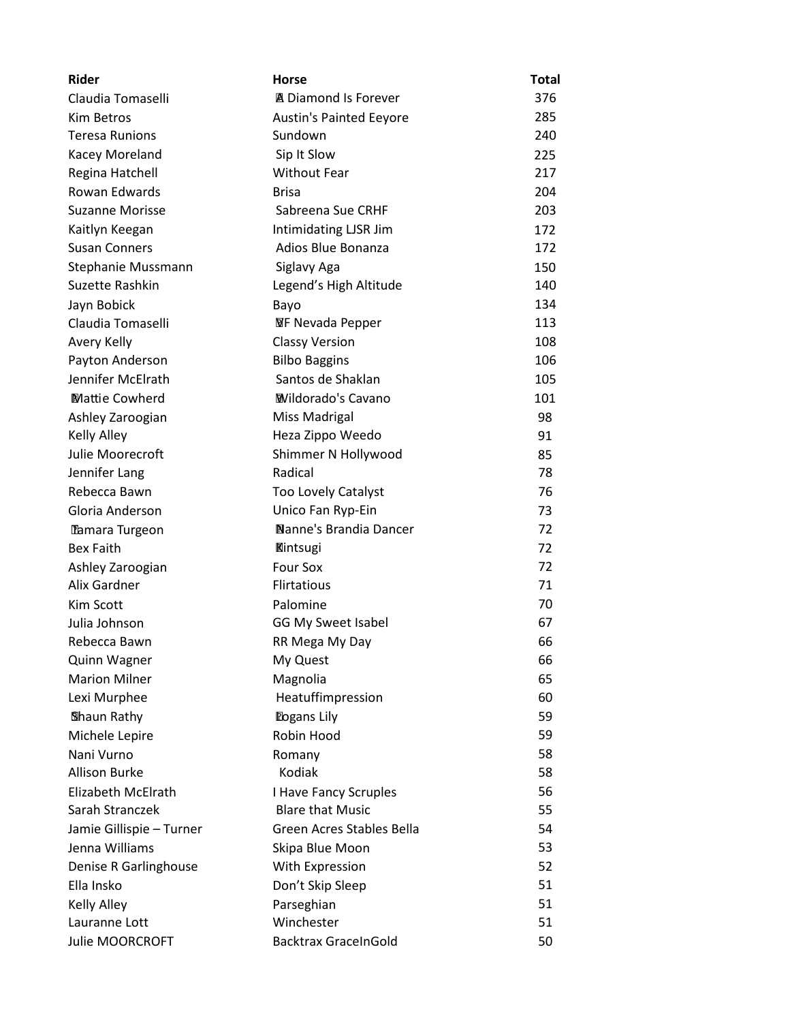| <b>Rider</b>             | Horse                          | Total |
|--------------------------|--------------------------------|-------|
| Claudia Tomaselli        | ■ Diamond Is Forever           | 376   |
| Kim Betros               | <b>Austin's Painted Eeyore</b> | 285   |
| <b>Teresa Runions</b>    | Sundown                        | 240   |
| Kacey Moreland           | Sip It Slow                    | 225   |
| Regina Hatchell          | <b>Without Fear</b>            | 217   |
| Rowan Edwards            | <b>Brisa</b>                   | 204   |
| <b>Suzanne Morisse</b>   | Sabreena Sue CRHF              | 203   |
| Kaitlyn Keegan           | Intimidating LJSR Jim          | 172   |
| <b>Susan Conners</b>     | Adios Blue Bonanza             | 172   |
| Stephanie Mussmann       | Siglavy Aga                    | 150   |
| Suzette Rashkin          | Legend's High Altitude         | 140   |
| Jayn Bobick              | Bayo                           | 134   |
| Claudia Tomaselli        | <b>WF Nevada Pepper</b>        | 113   |
| Avery Kelly              | <b>Classy Version</b>          | 108   |
| Payton Anderson          | <b>Bilbo Baggins</b>           | 106   |
| Jennifer McElrath        | Santos de Shaklan              | 105   |
| <b>Mattie Cowherd</b>    | <b>Wildorado's Cavano</b>      | 101   |
| Ashley Zaroogian         | <b>Miss Madrigal</b>           | 98    |
| <b>Kelly Alley</b>       | Heza Zippo Weedo               | 91    |
| Julie Moorecroft         | Shimmer N Hollywood            | 85    |
| Jennifer Lang            | Radical                        | 78    |
| Rebecca Bawn             | <b>Too Lovely Catalyst</b>     | 76    |
| Gloria Anderson          | Unico Fan Ryp-Ein              | 73    |
| Tamara Turgeon           | Nanne's Brandia Dancer         | 72    |
| <b>Bex Faith</b>         | <b>Kintsugi</b>                | 72    |
| Ashley Zaroogian         | <b>Four Sox</b>                | 72    |
| Alix Gardner             | <b>Flirtatious</b>             | 71    |
| <b>Kim Scott</b>         | Palomine                       | 70    |
| Julia Johnson            | <b>GG My Sweet Isabel</b>      | 67    |
| Rebecca Bawn             | RR Mega My Day                 | 66    |
| <b>Quinn Wagner</b>      | My Quest                       | 66    |
| <b>Marion Milner</b>     | Magnolia                       | 65    |
| Lexi Murphee             | Heatuffimpression              | 60    |
| Shaun Rathy              | <b>Dogans Lily</b>             | 59    |
| Michele Lepire           | Robin Hood                     | 59    |
| Nani Vurno               | Romany                         | 58    |
| <b>Allison Burke</b>     | Kodiak                         | 58    |
| Elizabeth McElrath       | I Have Fancy Scruples          | 56    |
| Sarah Stranczek          | <b>Blare that Music</b>        | 55    |
| Jamie Gillispie - Turner | Green Acres Stables Bella      | 54    |
| Jenna Williams           | Skipa Blue Moon                | 53    |
| Denise R Garlinghouse    | With Expression                | 52    |
| Ella Insko               | Don't Skip Sleep               | 51    |
| <b>Kelly Alley</b>       | Parseghian                     | 51    |
| Lauranne Lott            | Winchester                     | 51    |
| Julie MOORCROFT          | <b>Backtrax GraceInGold</b>    | 50    |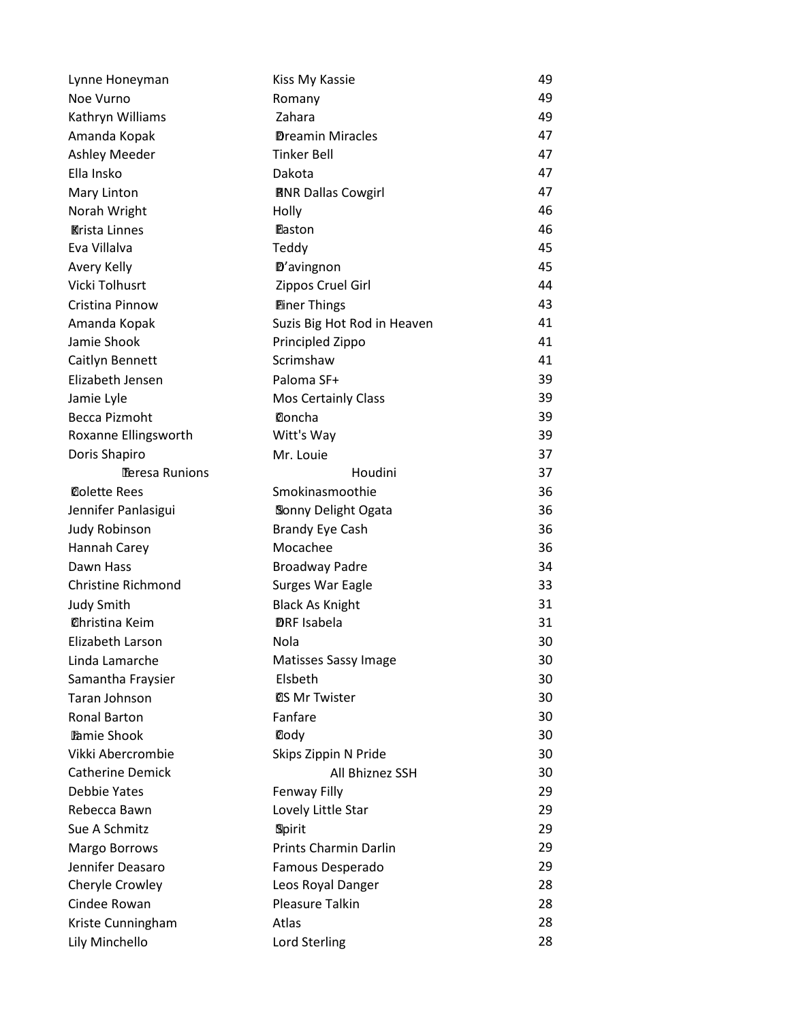| Lynne Honeyman            | Kiss My Kassie              | 49 |
|---------------------------|-----------------------------|----|
| Noe Vurno                 | Romany                      | 49 |
| Kathryn Williams          | Zahara                      | 49 |
| Amanda Kopak              | <b>Dreamin Miracles</b>     | 47 |
| <b>Ashley Meeder</b>      | <b>Tinker Bell</b>          | 47 |
| Ella Insko                | Dakota                      | 47 |
| Mary Linton               | <b>RNR Dallas Cowgirl</b>   | 47 |
| Norah Wright              | Holly                       | 46 |
| <b>Krista Linnes</b>      | Easton                      | 46 |
| Eva Villalva              | Teddy                       | 45 |
| Avery Kelly               | D'avingnon                  | 45 |
| Vicki Tolhusrt            | Zippos Cruel Girl           | 44 |
| Cristina Pinnow           | <b>Einer Things</b>         | 43 |
| Amanda Kopak              | Suzis Big Hot Rod in Heaven | 41 |
| Jamie Shook               | Principled Zippo            | 41 |
| Caitlyn Bennett           | Scrimshaw                   | 41 |
| Elizabeth Jensen          | Paloma SF+                  | 39 |
| Jamie Lyle                | <b>Mos Certainly Class</b>  | 39 |
| <b>Becca Pizmoht</b>      | Concha                      | 39 |
| Roxanne Ellingsworth      | Witt's Way                  | 39 |
| Doris Shapiro             | Mr. Louie                   | 37 |
| Teresa Runions            | Houdini                     | 37 |
| <b>Colette Rees</b>       | Smokinasmoothie             | 36 |
| Jennifer Panlasigui       | Sonny Delight Ogata         | 36 |
| <b>Judy Robinson</b>      | <b>Brandy Eye Cash</b>      | 36 |
| Hannah Carey              | Mocachee                    | 36 |
| Dawn Hass                 | <b>Broadway Padre</b>       | 34 |
| <b>Christine Richmond</b> | Surges War Eagle            | 33 |
| <b>Judy Smith</b>         | <b>Black As Knight</b>      | 31 |
| <b>Christina Keim</b>     | <b>DRF</b> Isabela          | 31 |
| Elizabeth Larson          | Nola                        | 30 |
| Linda Lamarche            | Matisses Sassy Image        | 30 |
| Samantha Fraysier         | Elsbeth                     | 30 |
| Taran Johnson             | <b>QS Mr Twister</b>        | 30 |
| <b>Ronal Barton</b>       | Fanfare                     | 30 |
| <b>Pamie Shook</b>        | Cody                        | 30 |
| Vikki Abercrombie         | Skips Zippin N Pride        | 30 |
| <b>Catherine Demick</b>   | All Bhiznez SSH             | 30 |
| Debbie Yates              | Fenway Filly                | 29 |
| Rebecca Bawn              | Lovely Little Star          | 29 |
| Sue A Schmitz             | Spirit                      | 29 |
| Margo Borrows             | Prints Charmin Darlin       | 29 |
| Jennifer Deasaro          | Famous Desperado            | 29 |
| Cheryle Crowley           | Leos Royal Danger           | 28 |
| Cindee Rowan              | Pleasure Talkin             | 28 |
| Kriste Cunningham         | Atlas                       | 28 |
| Lily Minchello            | <b>Lord Sterling</b>        | 28 |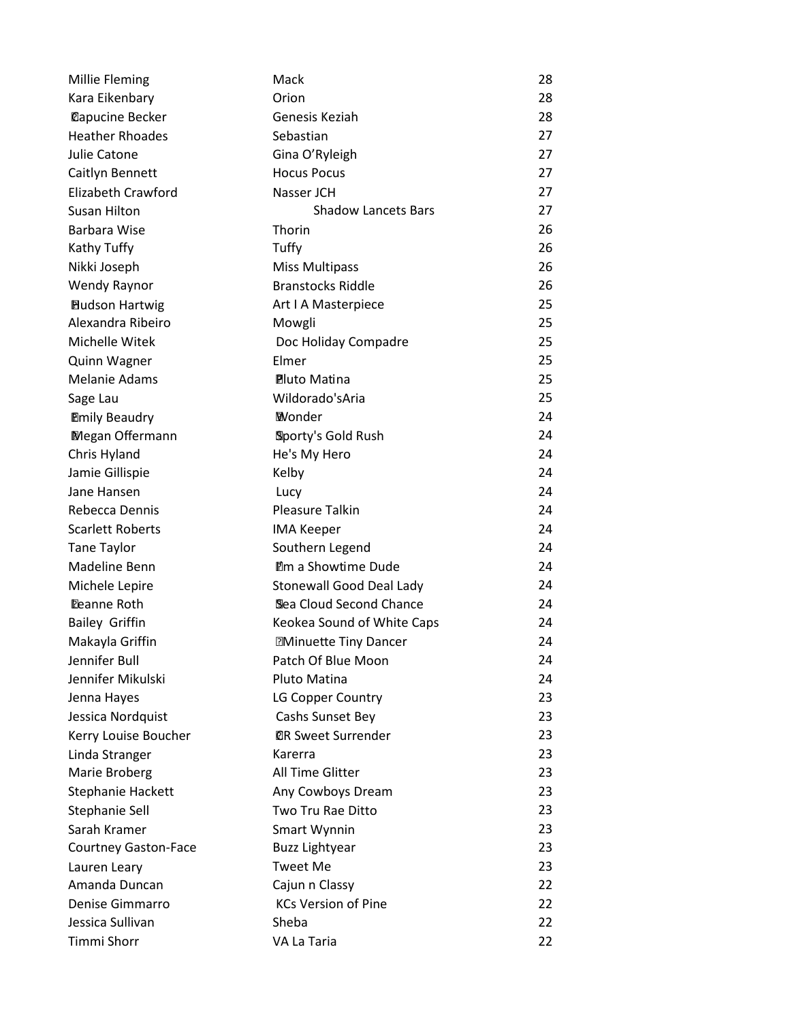| <b>Millie Fleming</b>       | Mack                        | 28 |
|-----------------------------|-----------------------------|----|
| Kara Eikenbary              | Orion                       | 28 |
| <b>Dapucine Becker</b>      | Genesis Keziah              | 28 |
| <b>Heather Rhoades</b>      | Sebastian                   | 27 |
| Julie Catone                | Gina O'Ryleigh              | 27 |
| Caitlyn Bennett             | <b>Hocus Pocus</b>          | 27 |
| Elizabeth Crawford          | Nasser JCH                  | 27 |
| Susan Hilton                | <b>Shadow Lancets Bars</b>  | 27 |
| Barbara Wise                | Thorin                      | 26 |
| Kathy Tuffy                 | Tuffy                       | 26 |
| Nikki Joseph                | <b>Miss Multipass</b>       | 26 |
| Wendy Raynor                | <b>Branstocks Riddle</b>    | 26 |
| <b>Hudson Hartwig</b>       | Art I A Masterpiece         | 25 |
| Alexandra Ribeiro           | Mowgli                      | 25 |
| Michelle Witek              | Doc Holiday Compadre        | 25 |
| Quinn Wagner                | Elmer                       | 25 |
| <b>Melanie Adams</b>        | <b>Pluto Matina</b>         | 25 |
| Sage Lau                    | Wildorado'sAria             | 25 |
| <b>Emily Beaudry</b>        | <b>Wonder</b>               | 24 |
| <b>Megan Offermann</b>      | Sporty's Gold Rush          | 24 |
| Chris Hyland                | He's My Hero                | 24 |
| Jamie Gillispie             | Kelby                       | 24 |
| Jane Hansen                 | Lucy                        | 24 |
| Rebecca Dennis              | <b>Pleasure Talkin</b>      | 24 |
| <b>Scarlett Roberts</b>     | <b>IMA Keeper</b>           | 24 |
| <b>Tane Taylor</b>          | Southern Legend             | 24 |
| Madeline Benn               | <b>Im a Showtime Dude</b>   | 24 |
| Michele Lepire              | Stonewall Good Deal Lady    | 24 |
| <b>Deanne Roth</b>          | Sea Cloud Second Chance     | 24 |
| <b>Bailey Griffin</b>       | Keokea Sound of White Caps  | 24 |
| Makayla Griffin             | <b>Minuette Tiny Dancer</b> | 24 |
| Jennifer Bull               | Patch Of Blue Moon          | 24 |
| Jennifer Mikulski           | Pluto Matina                | 24 |
| Jenna Hayes                 | LG Copper Country           | 23 |
| Jessica Nordquist           | Cashs Sunset Bey            | 23 |
| Kerry Louise Boucher        | <b>@R Sweet Surrender</b>   | 23 |
| Linda Stranger              | Karerra                     | 23 |
| Marie Broberg               | All Time Glitter            | 23 |
| Stephanie Hackett           | Any Cowboys Dream           | 23 |
| Stephanie Sell              | Two Tru Rae Ditto           | 23 |
| Sarah Kramer                | <b>Smart Wynnin</b>         | 23 |
| <b>Courtney Gaston-Face</b> | <b>Buzz Lightyear</b>       | 23 |
| Lauren Leary                | <b>Tweet Me</b>             | 23 |
| Amanda Duncan               | Cajun n Classy              | 22 |
| Denise Gimmarro             | <b>KCs Version of Pine</b>  | 22 |
| Jessica Sullivan            | Sheba                       | 22 |
| Timmi Shorr                 | VA La Taria                 | 22 |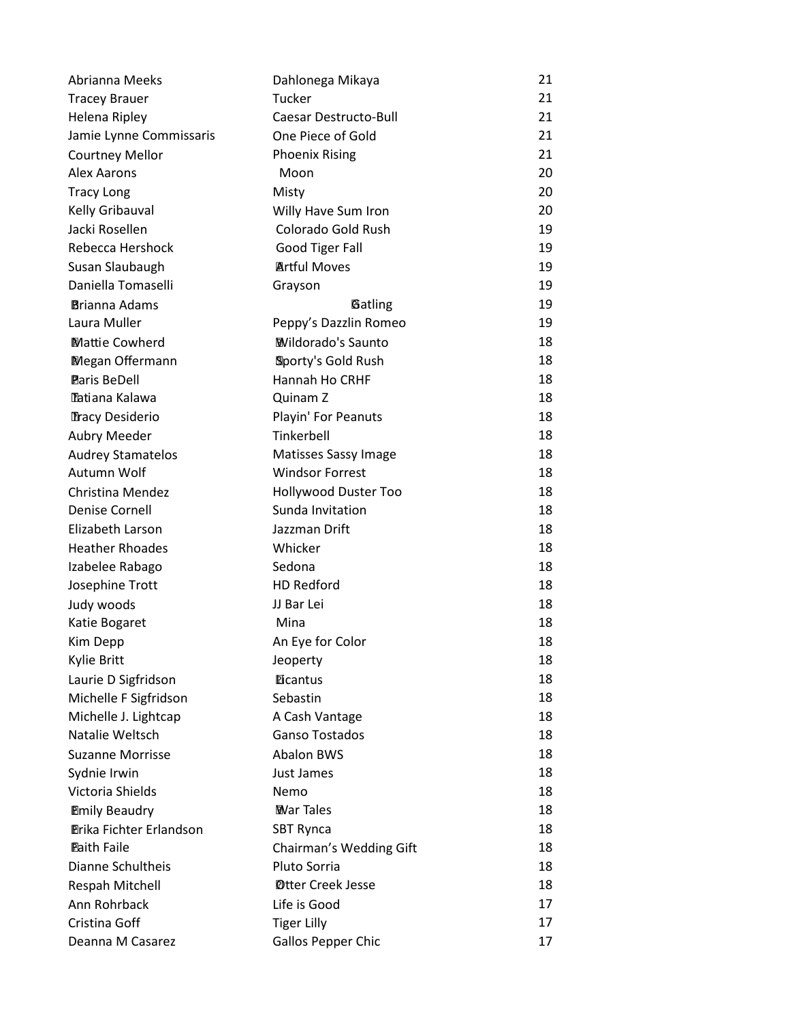| Abrianna Meeks                 | Dahlonega Mikaya          | 21 |
|--------------------------------|---------------------------|----|
| <b>Tracey Brauer</b>           | Tucker                    | 21 |
| Helena Ripley                  | Caesar Destructo-Bull     | 21 |
| Jamie Lynne Commissaris        | One Piece of Gold         | 21 |
| <b>Courtney Mellor</b>         | <b>Phoenix Rising</b>     | 21 |
| <b>Alex Aarons</b>             | Moon                      | 20 |
| <b>Tracy Long</b>              | Misty                     | 20 |
| Kelly Gribauval                | Willy Have Sum Iron       | 20 |
| Jacki Rosellen                 | Colorado Gold Rush        | 19 |
| Rebecca Hershock               | Good Tiger Fall           | 19 |
| Susan Slaubaugh                | <b>Artful Moves</b>       | 19 |
| Daniella Tomaselli             | Grayson                   | 19 |
| <b>Brianna Adams</b>           | Gatling                   | 19 |
| Laura Muller                   | Peppy's Dazzlin Romeo     | 19 |
| <b>Mattie Cowherd</b>          | <b>Wildorado's Saunto</b> | 18 |
| Megan Offermann                | Sporty's Gold Rush        | 18 |
| <b>Paris BeDell</b>            | Hannah Ho CRHF            | 18 |
| Tatiana Kalawa                 | Quinam Z                  | 18 |
| Tracy Desiderio                | Playin' For Peanuts       | 18 |
| <b>Aubry Meeder</b>            | Tinkerbell                | 18 |
| <b>Audrey Stamatelos</b>       | Matisses Sassy Image      | 18 |
| Autumn Wolf                    | <b>Windsor Forrest</b>    | 18 |
| Christina Mendez               | Hollywood Duster Too      | 18 |
| <b>Denise Cornell</b>          | Sunda Invitation          | 18 |
| Elizabeth Larson               | Jazzman Drift             | 18 |
| <b>Heather Rhoades</b>         | Whicker                   | 18 |
| Izabelee Rabago                | Sedona                    | 18 |
| Josephine Trott                | <b>HD Redford</b>         | 18 |
| Judy woods                     | JJ Bar Lei                | 18 |
| Katie Bogaret                  | Mina                      | 18 |
| Kim Depp                       | An Eye for Color          | 18 |
| Kylie Britt                    | Jeoperty                  | 18 |
| Laurie D Sigfridson            | <b>Eicantus</b>           | 18 |
| Michelle F Sigfridson          | Sebastin                  | 18 |
| Michelle J. Lightcap           | A Cash Vantage            | 18 |
| Natalie Weltsch                | Ganso Tostados            | 18 |
| <b>Suzanne Morrisse</b>        | <b>Abalon BWS</b>         | 18 |
| Sydnie Irwin                   | Just James                | 18 |
| Victoria Shields               | Nemo                      | 18 |
| <b>Emily Beaudry</b>           | <b>War Tales</b>          | 18 |
| <b>Erika Fichter Erlandson</b> | <b>SBT Rynca</b>          | 18 |
| <b>Eaith Faile</b>             | Chairman's Wedding Gift   | 18 |
| Dianne Schultheis              | Pluto Sorria              | 18 |
| Respah Mitchell                | <b>Otter Creek Jesse</b>  | 18 |
| Ann Rohrback                   | Life is Good              | 17 |
| Cristina Goff                  | <b>Tiger Lilly</b>        | 17 |
| Deanna M Casarez               | <b>Gallos Pepper Chic</b> | 17 |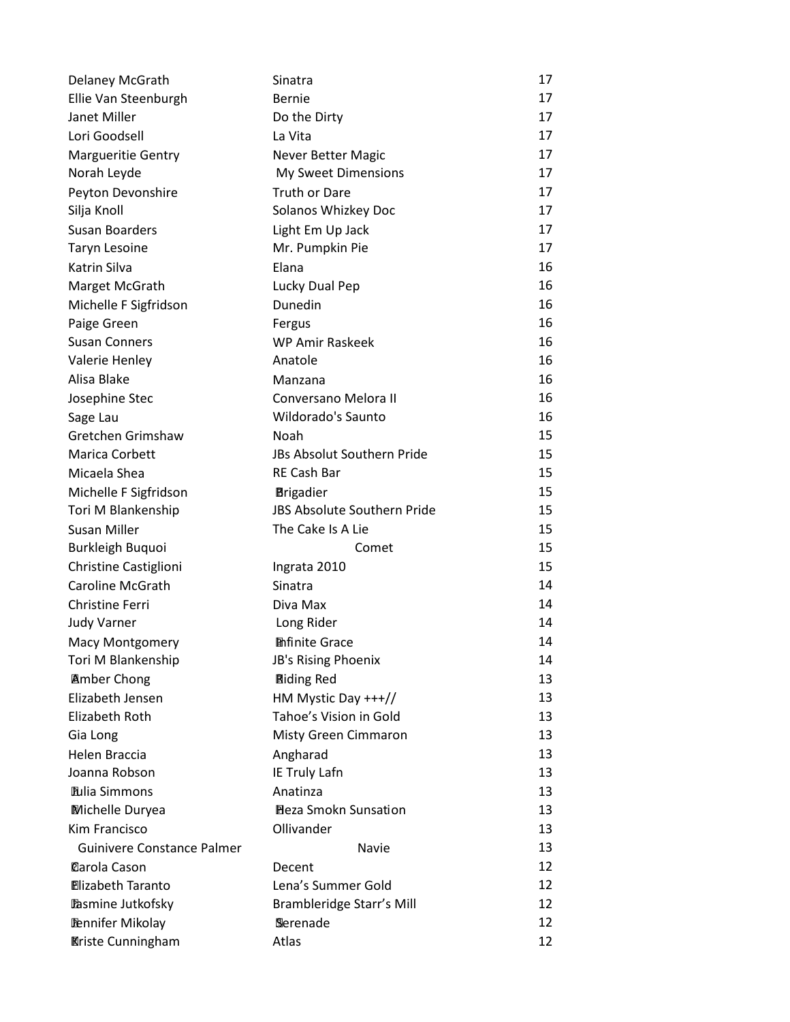| Delaney McGrath                   | Sinatra                            | 17 |
|-----------------------------------|------------------------------------|----|
| Ellie Van Steenburgh              | <b>Bernie</b>                      | 17 |
| Janet Miller                      | Do the Dirty                       | 17 |
| Lori Goodsell                     | La Vita                            | 17 |
| <b>Margueritie Gentry</b>         | <b>Never Better Magic</b>          | 17 |
| Norah Leyde                       | My Sweet Dimensions                | 17 |
| Peyton Devonshire                 | <b>Truth or Dare</b>               | 17 |
| Silja Knoll                       | Solanos Whizkey Doc                | 17 |
| <b>Susan Boarders</b>             | Light Em Up Jack                   | 17 |
| <b>Taryn Lesoine</b>              | Mr. Pumpkin Pie                    | 17 |
| Katrin Silva                      | Elana                              | 16 |
| Marget McGrath                    | Lucky Dual Pep                     | 16 |
| Michelle F Sigfridson             | Dunedin                            | 16 |
| Paige Green                       | Fergus                             | 16 |
| <b>Susan Conners</b>              | <b>WP Amir Raskeek</b>             | 16 |
| Valerie Henley                    | Anatole                            | 16 |
| Alisa Blake                       | Manzana                            | 16 |
| Josephine Stec                    | Conversano Melora II               | 16 |
| Sage Lau                          | Wildorado's Saunto                 | 16 |
| Gretchen Grimshaw                 | Noah                               | 15 |
| Marica Corbett                    | JBs Absolut Southern Pride         | 15 |
| Micaela Shea                      | <b>RE Cash Bar</b>                 | 15 |
| Michelle F Sigfridson             | <b>Brigadier</b>                   | 15 |
| Tori M Blankenship                | <b>JBS Absolute Southern Pride</b> | 15 |
| <b>Susan Miller</b>               | The Cake Is A Lie                  | 15 |
| Burkleigh Buquoi                  | Comet                              | 15 |
| Christine Castiglioni             | Ingrata 2010                       | 15 |
| <b>Caroline McGrath</b>           | Sinatra                            | 14 |
| <b>Christine Ferri</b>            | Diva Max                           | 14 |
| <b>Judy Varner</b>                | Long Rider                         | 14 |
| <b>Macy Montgomery</b>            | <b>Infinite Grace</b>              | 14 |
| Tori M Blankenship                | JB's Rising Phoenix                | 14 |
| <b>Amber Chong</b>                | <b>Riding Red</b>                  | 13 |
| Elizabeth Jensen                  | HM Mystic Day +++//                | 13 |
| <b>Elizabeth Roth</b>             | Tahoe's Vision in Gold             | 13 |
| Gia Long                          | Misty Green Cimmaron               | 13 |
| Helen Braccia                     | Angharad                           | 13 |
| Joanna Robson                     | IE Truly Lafn                      | 13 |
| <b>Eulia Simmons</b>              | Anatinza                           | 13 |
| Michelle Duryea                   | <b>Eleza Smokn Sunsation</b>       | 13 |
| Kim Francisco                     | Ollivander                         | 13 |
| <b>Guinivere Constance Palmer</b> | Navie                              | 13 |
| <b>Carola Cason</b>               | Decent                             | 12 |
| <b>Hizabeth Taranto</b>           | Lena's Summer Gold                 | 12 |
| Pasmine Jutkofsky                 | Brambleridge Starr's Mill          | 12 |
| <b>Pennifer Mikolay</b>           | Serenade                           | 12 |
| <b>Kriste Cunningham</b>          | Atlas                              | 12 |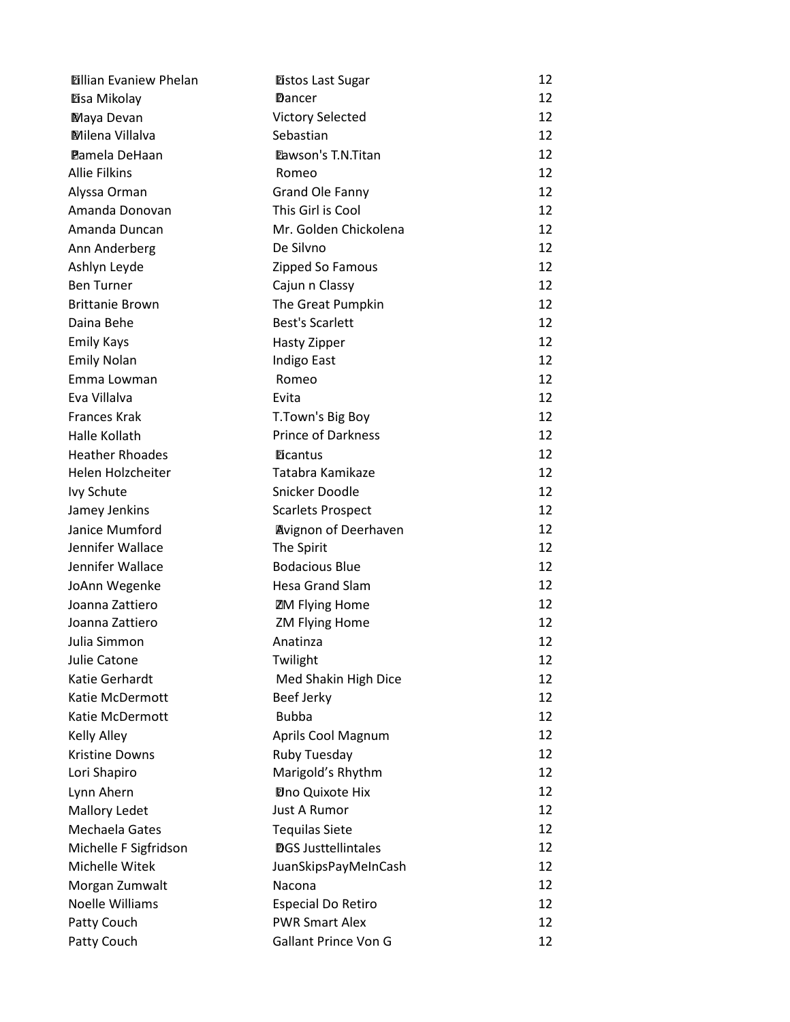| <b>Dillian Evaniew Phelan</b> | <b>Eistos Last Sugar</b>    | 12 |
|-------------------------------|-----------------------------|----|
| Disa Mikolay                  | Dancer                      | 12 |
| Maya Devan                    | <b>Victory Selected</b>     | 12 |
| <b>Milena Villalva</b>        | Sebastian                   | 12 |
| <b>Pamela DeHaan</b>          | <b>Eawson's T.N.Titan</b>   | 12 |
| <b>Allie Filkins</b>          | Romeo                       | 12 |
| Alyssa Orman                  | <b>Grand Ole Fanny</b>      | 12 |
| Amanda Donovan                | This Girl is Cool           | 12 |
| Amanda Duncan                 | Mr. Golden Chickolena       | 12 |
| Ann Anderberg                 | De Silvno                   | 12 |
| Ashlyn Leyde                  | Zipped So Famous            | 12 |
| <b>Ben Turner</b>             | Cajun n Classy              | 12 |
| <b>Brittanie Brown</b>        | The Great Pumpkin           | 12 |
| Daina Behe                    | <b>Best's Scarlett</b>      | 12 |
| <b>Emily Kays</b>             | Hasty Zipper                | 12 |
| <b>Emily Nolan</b>            | Indigo East                 | 12 |
| Emma Lowman                   | Romeo                       | 12 |
| Eva Villalva                  | Evita                       | 12 |
| <b>Frances Krak</b>           | T.Town's Big Boy            | 12 |
| Halle Kollath                 | <b>Prince of Darkness</b>   | 12 |
| <b>Heather Rhoades</b>        | <b>Eicantus</b>             | 12 |
| Helen Holzcheiter             | Tatabra Kamikaze            | 12 |
| Ivy Schute                    | Snicker Doodle              | 12 |
| Jamey Jenkins                 | <b>Scarlets Prospect</b>    | 12 |
| Janice Mumford                | <b>Avignon of Deerhaven</b> | 12 |
| Jennifer Wallace              | The Spirit                  | 12 |
| Jennifer Wallace              | <b>Bodacious Blue</b>       | 12 |
| JoAnn Wegenke                 | <b>Hesa Grand Slam</b>      | 12 |
| Joanna Zattiero               | <b>ZM Flying Home</b>       | 12 |
| Joanna Zattiero               | <b>ZM Flying Home</b>       | 12 |
| Julia Simmon                  | Anatinza                    | 12 |
| Julie Catone                  | Twilight                    | 12 |
| Katie Gerhardt                | Med Shakin High Dice        | 12 |
| Katie McDermott               | Beef Jerky                  | 12 |
| Katie McDermott               | <b>Bubba</b>                | 12 |
| Kelly Alley                   | Aprils Cool Magnum          | 12 |
| <b>Kristine Downs</b>         | Ruby Tuesday                | 12 |
| Lori Shapiro                  | Marigold's Rhythm           | 12 |
| Lynn Ahern                    | Dno Quixote Hix             | 12 |
| Mallory Ledet                 | Just A Rumor                | 12 |
| Mechaela Gates                | <b>Tequilas Siete</b>       | 12 |
| Michelle F Sigfridson         | <b>DGS Justtellintales</b>  | 12 |
| Michelle Witek                | JuanSkipsPayMeInCash        | 12 |
| Morgan Zumwalt                | Nacona                      | 12 |
| <b>Noelle Williams</b>        | <b>Especial Do Retiro</b>   | 12 |
| Patty Couch                   | <b>PWR Smart Alex</b>       | 12 |
| Patty Couch                   | Gallant Prince Von G        | 12 |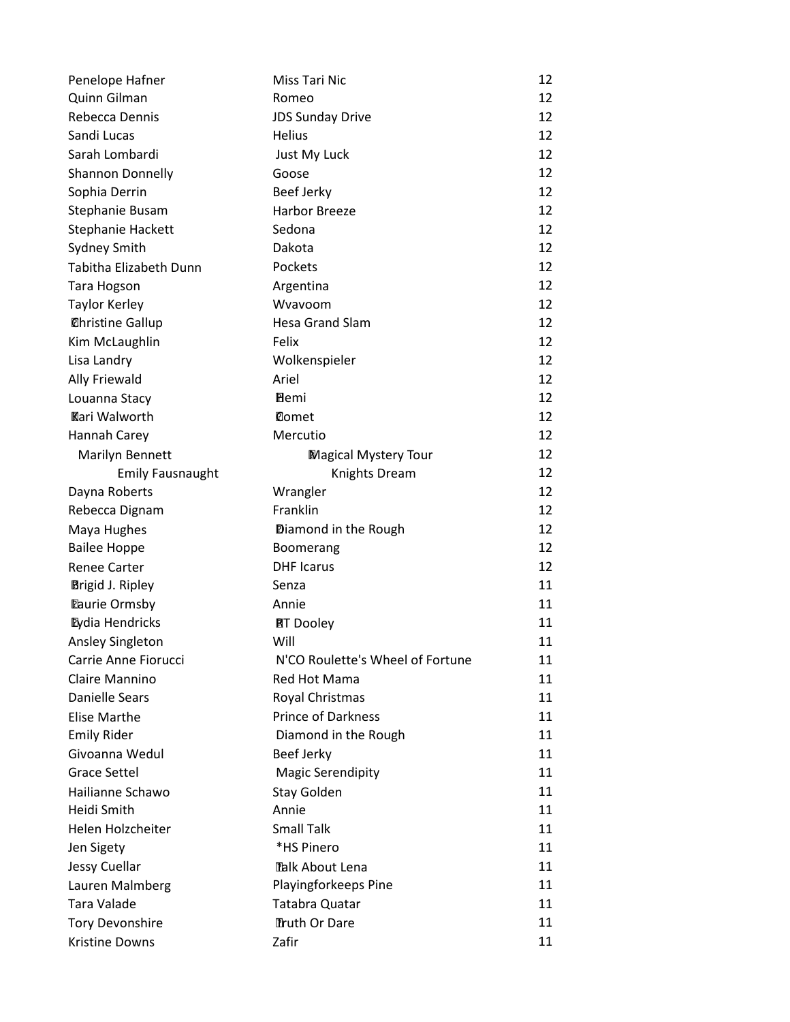| Penelope Hafner                                      | Miss Tari Nic                    | 12 |
|------------------------------------------------------|----------------------------------|----|
| Quinn Gilman                                         | Romeo                            | 12 |
| Rebecca Dennis                                       | <b>JDS Sunday Drive</b>          | 12 |
| Sandi Lucas                                          | <b>Helius</b>                    | 12 |
| Sarah Lombardi                                       | Just My Luck                     | 12 |
| Shannon Donnelly                                     | Goose                            | 12 |
| Sophia Derrin                                        | Beef Jerky                       | 12 |
| Stephanie Busam                                      | <b>Harbor Breeze</b>             | 12 |
| Stephanie Hackett                                    | Sedona                           | 12 |
| Sydney Smith                                         | Dakota                           | 12 |
| Tabitha Elizabeth Dunn                               | Pockets                          | 12 |
| <b>Tara Hogson</b>                                   | Argentina                        | 12 |
| <b>Taylor Kerley</b>                                 | Wyayoom                          | 12 |
| <b><i><u></u></i></b> <i><b>Christine Gallup</b></i> | <b>Hesa Grand Slam</b>           | 12 |
| Kim McLaughlin                                       | Felix                            | 12 |
| Lisa Landry                                          | Wolkenspieler                    | 12 |
| Ally Friewald                                        | Ariel                            | 12 |
| Louanna Stacy                                        | <b>E</b> lemi                    | 12 |
| <b>Kari Walworth</b>                                 | <b>Comet</b>                     | 12 |
| Hannah Carey                                         | Mercutio                         | 12 |
| Marilyn Bennett                                      | <b>Magical Mystery Tour</b>      | 12 |
| <b>Emily Fausnaught</b>                              | <b>Knights Dream</b>             | 12 |
| Dayna Roberts                                        | Wrangler                         | 12 |
| Rebecca Dignam                                       | Franklin                         | 12 |
| Maya Hughes                                          | Diamond in the Rough             | 12 |
| <b>Bailee Hoppe</b>                                  | Boomerang                        | 12 |
| <b>Renee Carter</b>                                  | <b>DHF</b> Icarus                | 12 |
| <b>Brigid J. Ripley</b>                              | Senza                            | 11 |
| <b>Eaurie Ormsby</b>                                 | Annie                            | 11 |
| <b>Eydia Hendricks</b>                               | <b>RT</b> Dooley                 | 11 |
| Ansley Singleton                                     | Will                             | 11 |
| Carrie Anne Fiorucci                                 | N'CO Roulette's Wheel of Fortune | 11 |
| Claire Mannino                                       | Red Hot Mama                     | 11 |
| <b>Danielle Sears</b>                                | Royal Christmas                  | 11 |
| <b>Elise Marthe</b>                                  | <b>Prince of Darkness</b>        | 11 |
| <b>Emily Rider</b>                                   | Diamond in the Rough             | 11 |
| Givoanna Wedul                                       | <b>Beef Jerky</b>                | 11 |
| <b>Grace Settel</b>                                  | <b>Magic Serendipity</b>         | 11 |
| Hailianne Schawo                                     | Stay Golden                      | 11 |
| Heidi Smith                                          | Annie                            | 11 |
| Helen Holzcheiter                                    | <b>Small Talk</b>                | 11 |
| Jen Sigety                                           | *HS Pinero                       | 11 |
| Jessy Cuellar                                        | Talk About Lena                  | 11 |
| Lauren Malmberg                                      | Playingforkeeps Pine             | 11 |
| <b>Tara Valade</b>                                   | Tatabra Quatar                   | 11 |
| <b>Tory Devonshire</b>                               | Truth Or Dare                    | 11 |
| Kristine Downs                                       | Zafir                            | 11 |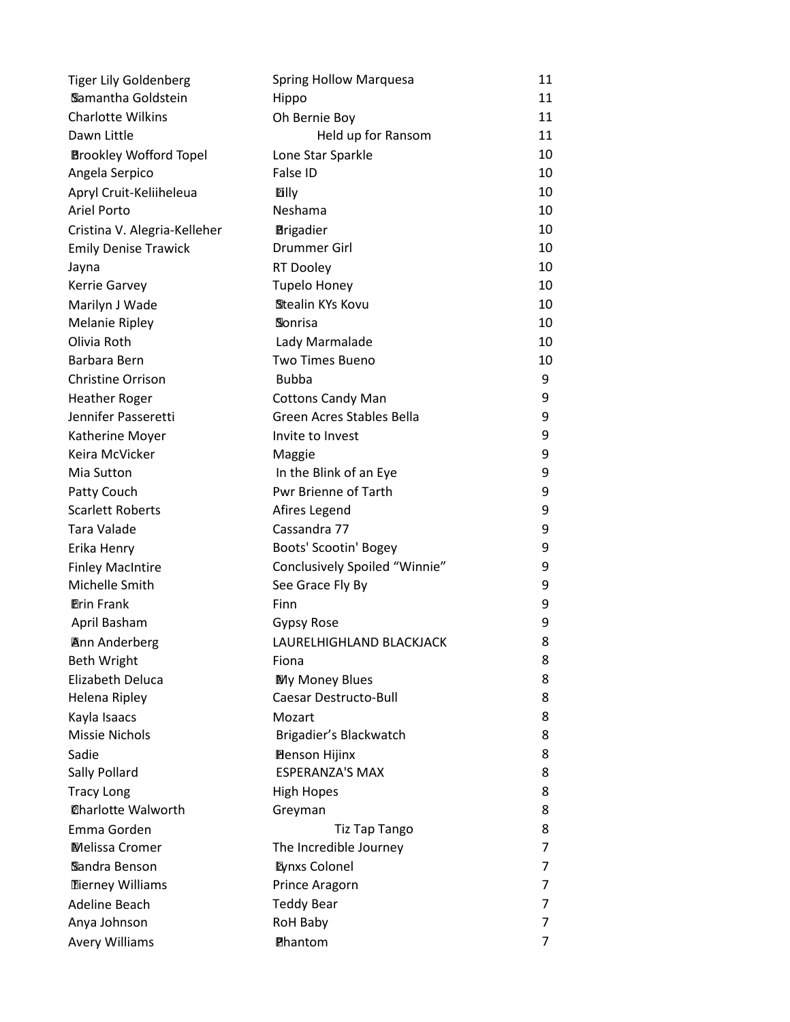| <b>Tiger Lily Goldenberg</b>  | <b>Spring Hollow Marquesa</b>    | 11 |
|-------------------------------|----------------------------------|----|
| Samantha Goldstein            | Hippo                            | 11 |
| <b>Charlotte Wilkins</b>      | Oh Bernie Boy                    | 11 |
| Dawn Little                   | Held up for Ransom               | 11 |
| <b>Brookley Wofford Topel</b> | Lone Star Sparkle                | 10 |
| Angela Serpico                | False ID                         | 10 |
| Apryl Cruit-Keliiheleua       | <b>Dilly</b>                     | 10 |
| <b>Ariel Porto</b>            | Neshama                          | 10 |
| Cristina V. Alegria-Kelleher  | <b>Brigadier</b>                 | 10 |
| <b>Emily Denise Trawick</b>   | <b>Drummer Girl</b>              | 10 |
| Jayna                         | <b>RT Dooley</b>                 | 10 |
| Kerrie Garvey                 | <b>Tupelo Honey</b>              | 10 |
| Marilyn J Wade                | Stealin KYs Kovu                 | 10 |
| <b>Melanie Ripley</b>         | Sonrisa                          | 10 |
| Olivia Roth                   | Lady Marmalade                   | 10 |
| Barbara Bern                  | <b>Two Times Bueno</b>           | 10 |
| <b>Christine Orrison</b>      | <b>Bubba</b>                     | 9  |
| <b>Heather Roger</b>          | <b>Cottons Candy Man</b>         | 9  |
| Jennifer Passeretti           | <b>Green Acres Stables Bella</b> | 9  |
| Katherine Moyer               | Invite to Invest                 | 9  |
| Keira McVicker                | Maggie                           | 9  |
| Mia Sutton                    | In the Blink of an Eye           | 9  |
| Patty Couch                   | <b>Pwr Brienne of Tarth</b>      | 9  |
| <b>Scarlett Roberts</b>       | Afires Legend                    | 9  |
| Tara Valade                   | Cassandra 77                     | 9  |
| Erika Henry                   | Boots' Scootin' Bogey            | 9  |
| <b>Finley MacIntire</b>       | Conclusively Spoiled "Winnie"    | 9  |
| Michelle Smith                | See Grace Fly By                 | 9  |
| <b>Prin Frank</b>             | Finn                             | 9  |
| April Basham                  | Gypsy Rose                       | 9  |
| <b>Ann Anderberg</b>          | LAURELHIGHLAND BLACKJACK         | 8  |
| <b>Beth Wright</b>            | Fiona                            | 8  |
| Elizabeth Deluca              | My Money Blues                   | 8  |
| Helena Ripley                 | <b>Caesar Destructo-Bull</b>     | 8  |
| Kayla Isaacs                  | Mozart                           | 8  |
| <b>Missie Nichols</b>         | Brigadier's Blackwatch           | 8  |
| Sadie                         | <b>Benson Hijinx</b>             | 8  |
| Sally Pollard                 | <b>ESPERANZA'S MAX</b>           | 8  |
| <b>Tracy Long</b>             | <b>High Hopes</b>                | 8  |
| <b>@harlotte Walworth</b>     | Greyman                          | 8  |
| Emma Gorden                   | <b>Tiz Tap Tango</b>             | 8  |
| Melissa Cromer                | The Incredible Journey           | 7  |
| Sandra Benson                 | <b>Eynxs Colonel</b>             | 7  |
| <b>Tierney Williams</b>       | Prince Aragorn                   | 7  |
| Adeline Beach                 | <b>Teddy Bear</b>                | 7  |
| Anya Johnson                  | <b>RoH Baby</b>                  | 7  |
| <b>Avery Williams</b>         | Phantom                          | 7  |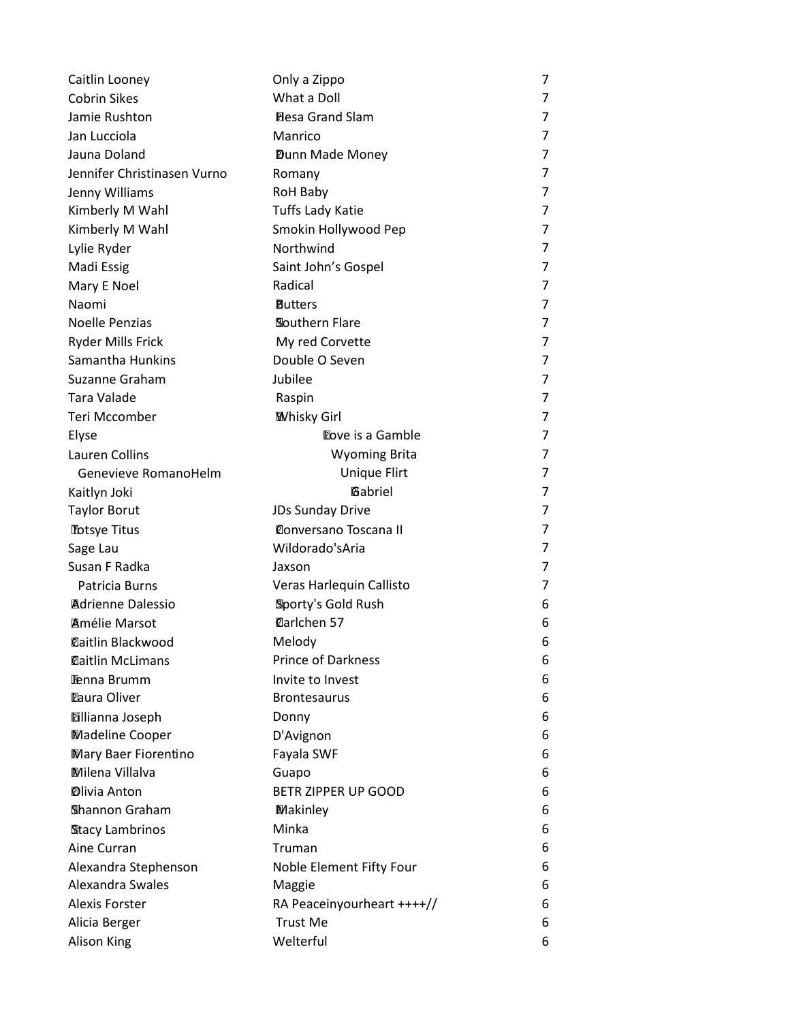| Caitlin Looney              | Only a Zippo                 | 7              |
|-----------------------------|------------------------------|----------------|
| <b>Cobrin Sikes</b>         | What a Doll                  | 7              |
| Jamie Rushton               | <b>Hesa Grand Slam</b>       | 7              |
| Jan Lucciola                | Manrico                      | 7              |
| Jauna Doland                | Dunn Made Money              | 7              |
| Jennifer Christinasen Vurno | Romany                       | 7              |
| Jenny Williams              | RoH Baby                     | 7              |
| Kimberly M Wahl             | <b>Tuffs Lady Katie</b>      | 7              |
| Kimberly M Wahl             | Smokin Hollywood Pep         | 7              |
| Lylie Ryder                 | Northwind                    | 7              |
| Madi Essig                  | Saint John's Gospel          | 7              |
| Mary E Noel                 | Radical                      | 7              |
| Naomi                       | <b>Butters</b>               | 7              |
| <b>Noelle Penzias</b>       | Southern Flare               | 7              |
| <b>Ryder Mills Frick</b>    | My red Corvette              | $\overline{7}$ |
| Samantha Hunkins            | Double O Seven               | 7              |
| Suzanne Graham              | Jubilee                      | 7              |
| Tara Valade                 | Raspin                       | 7              |
| Teri Mccomber               | <b>Whisky Girl</b>           | 7              |
| Elyse                       | Dove is a Gamble             | 7              |
| Lauren Collins              | <b>Wyoming Brita</b>         | 7              |
| Genevieve RomanoHelm        | <b>Unique Flirt</b>          | 7              |
| Kaitlyn Joki                | Gabriel                      | 7              |
| <b>Taylor Borut</b>         | <b>JDs Sunday Drive</b>      | 7              |
| <b>Totsye Titus</b>         | <b>Conversano Toscana II</b> | 7              |
| Sage Lau                    | Wildorado'sAria              | 7              |
| Susan F Radka               | Jaxson                       | 7              |
| Patricia Burns              | Veras Harlequin Callisto     | 7              |
| <b>Adrienne Dalessio</b>    | Sporty's Gold Rush           | 6              |
| <b>Amélie Marsot</b>        | Darlchen 57                  | 6              |
| <b>Daitlin Blackwood</b>    | Melody                       | 6              |
| <b>Daitlin McLimans</b>     | <b>Prince of Darkness</b>    | 6              |
| <b>Penna Brumm</b>          | Invite to Invest             | 6              |
| <b>Eaura Oliver</b>         | <b>Brontesaurus</b>          | 6              |
| <b>Dillianna Joseph</b>     | Donny                        | 6              |
| <b>Madeline Cooper</b>      | D'Avignon                    | 6              |
| Mary Baer Fiorentino        | Fayala SWF                   | 6              |
| <b>Milena Villalva</b>      | Guapo                        | 6              |
| <b>Dlivia Anton</b>         | BETR ZIPPER UP GOOD          | 6              |
| Shannon Graham              | <b>Makinley</b>              | 6              |
| <b>Stacy Lambrinos</b>      | Minka                        | 6              |
| Aine Curran                 | Truman                       | 6              |
| Alexandra Stephenson        | Noble Element Fifty Four     | 6              |
| Alexandra Swales            | Maggie                       | 6              |
| <b>Alexis Forster</b>       | RA Peaceinyourheart ++++//   | 6              |
| Alicia Berger               | <b>Trust Me</b>              | 6              |
| <b>Alison King</b>          | Welterful                    | 6              |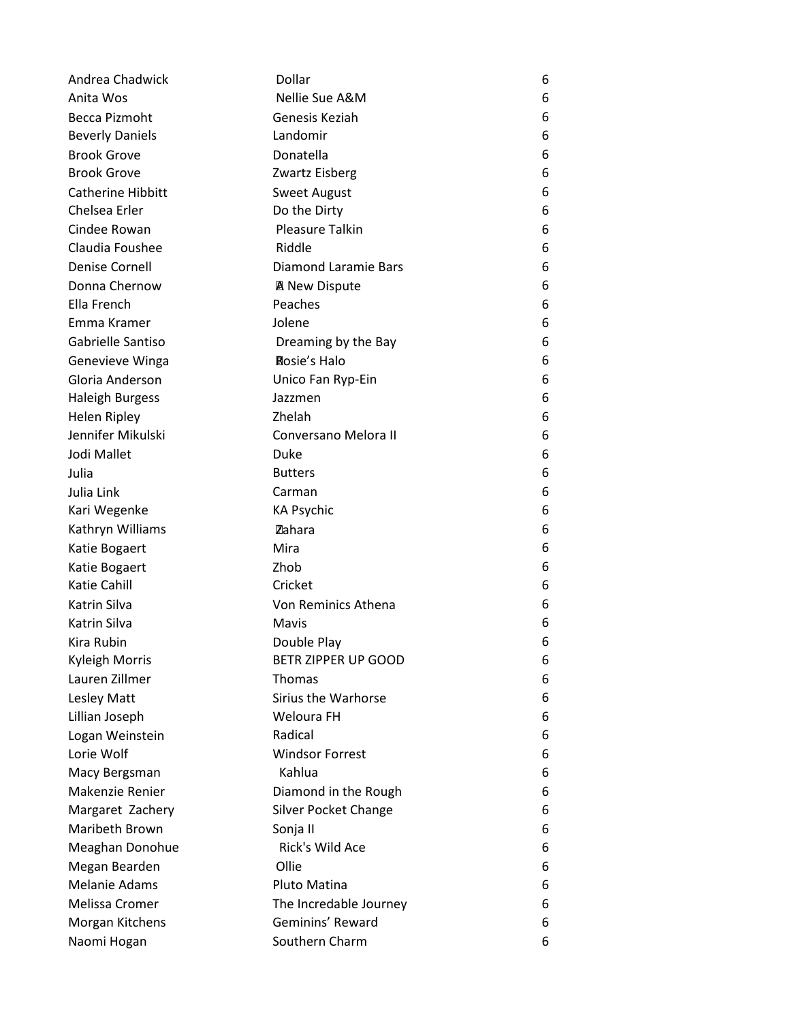| Andrea Chadwick          | Dollar                     | 6 |
|--------------------------|----------------------------|---|
| Anita Wos                | Nellie Sue A&M             | 6 |
| Becca Pizmoht            | Genesis Keziah             | 6 |
| <b>Beverly Daniels</b>   | Landomir                   | 6 |
| <b>Brook Grove</b>       | Donatella                  | 6 |
| <b>Brook Grove</b>       | Zwartz Eisberg             | 6 |
| <b>Catherine Hibbitt</b> | <b>Sweet August</b>        | 6 |
| Chelsea Erler            | Do the Dirty               | 6 |
| Cindee Rowan             | <b>Pleasure Talkin</b>     | 6 |
| Claudia Foushee          | Riddle                     | 6 |
| <b>Denise Cornell</b>    | Diamond Laramie Bars       | 6 |
| Donna Chernow            | <b>A</b> New Dispute       | 6 |
| Ella French              | Peaches                    | 6 |
| Emma Kramer              | Jolene                     | 6 |
| Gabrielle Santiso        | Dreaming by the Bay        | 6 |
| Genevieve Winga          | <b>Rosie's Halo</b>        | 6 |
| Gloria Anderson          | Unico Fan Ryp-Ein          | 6 |
| <b>Haleigh Burgess</b>   | Jazzmen                    | 6 |
| Helen Ripley             | Zhelah                     | 6 |
| Jennifer Mikulski        | Conversano Melora II       | 6 |
| Jodi Mallet              | Duke                       | 6 |
| Julia                    | <b>Butters</b>             | 6 |
| Julia Link               | Carman                     | 6 |
| Kari Wegenke             | <b>KA Psychic</b>          | 6 |
| Kathryn Williams         | Zahara                     | 6 |
| Katie Bogaert            | Mira                       | 6 |
| Katie Bogaert            | Zhob                       | 6 |
| Katie Cahill             | Cricket                    | 6 |
| Katrin Silva             | Von Reminics Athena        | 6 |
| Katrin Silva             | Mavis                      | 6 |
| Kira Rubin               | Double Play                | 6 |
| Kyleigh Morris           | <b>BETR ZIPPER UP GOOD</b> | 6 |
| Lauren Zillmer           | Thomas                     | 6 |
| Lesley Matt              | Sirius the Warhorse        | 6 |
| Lillian Joseph           | Weloura FH                 | 6 |
| Logan Weinstein          | Radical                    | 6 |
| Lorie Wolf               | <b>Windsor Forrest</b>     | 6 |
| Macy Bergsman            | Kahlua                     | 6 |
| Makenzie Renier          | Diamond in the Rough       | 6 |
| Margaret Zachery         | Silver Pocket Change       | 6 |
| Maribeth Brown           | Sonja II                   | 6 |
| Meaghan Donohue          | Rick's Wild Ace            | 6 |
| Megan Bearden            | Ollie                      | 6 |
| <b>Melanie Adams</b>     | Pluto Matina               | 6 |
| Melissa Cromer           | The Incredable Journey     | 6 |
| Morgan Kitchens          | Geminins' Reward           | 6 |
| Naomi Hogan              | Southern Charm             | 6 |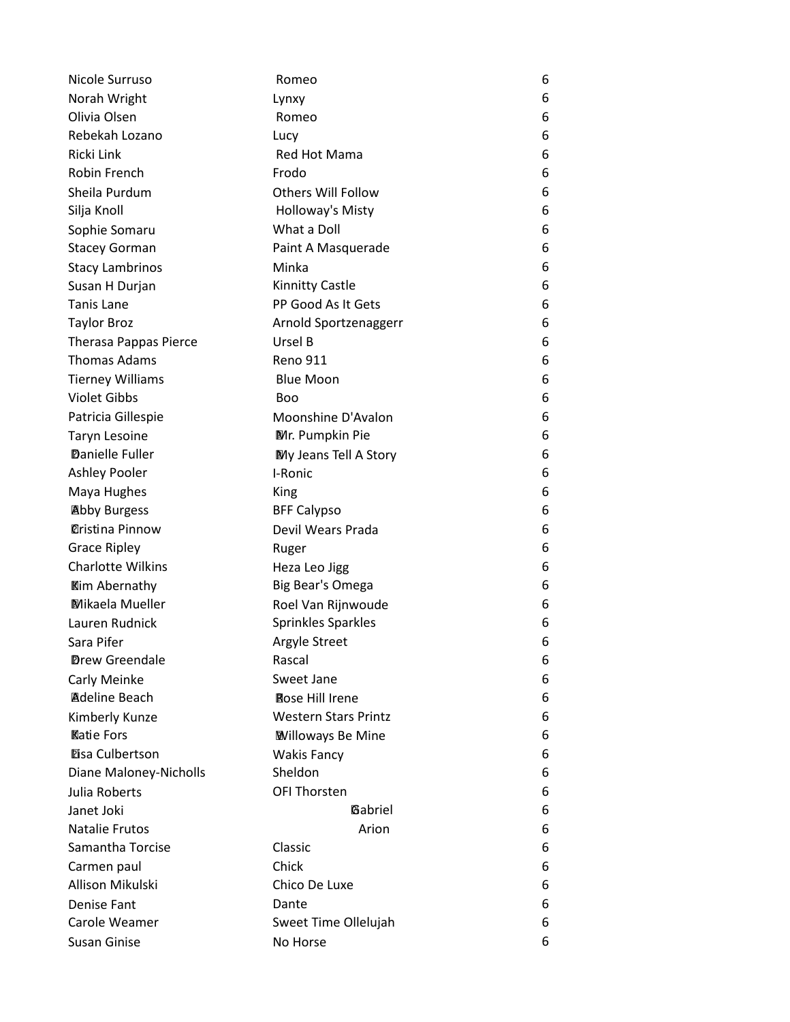| Nicole Surruso                       | Romeo                       | 6 |
|--------------------------------------|-----------------------------|---|
| Norah Wright                         | Lynxy                       | 6 |
| Olivia Olsen                         | Romeo                       | 6 |
| Rebekah Lozano                       | Lucy                        | 6 |
| Ricki Link                           | Red Hot Mama                | 6 |
| Robin French                         | Frodo                       | 6 |
| Sheila Purdum                        | <b>Others Will Follow</b>   | 6 |
| Silja Knoll                          | Holloway's Misty            | 6 |
| Sophie Somaru                        | What a Doll                 | 6 |
| <b>Stacey Gorman</b>                 | Paint A Masquerade          | 6 |
| <b>Stacy Lambrinos</b>               | Minka                       | 6 |
| Susan H Durjan                       | Kinnitty Castle             | 6 |
| <b>Tanis Lane</b>                    | PP Good As It Gets          | 6 |
| <b>Taylor Broz</b>                   | Arnold Sportzenaggerr       | 6 |
| <b>Therasa Pappas Pierce</b>         | Ursel B                     | 6 |
| <b>Thomas Adams</b>                  | <b>Reno 911</b>             | 6 |
| <b>Tierney Williams</b>              | <b>Blue Moon</b>            | 6 |
| <b>Violet Gibbs</b>                  | <b>Boo</b>                  | 6 |
| Patricia Gillespie                   | Moonshine D'Avalon          | 6 |
| <b>Taryn Lesoine</b>                 | Mr. Pumpkin Pie             | 6 |
| <b>Danielle Fuller</b>               | My Jeans Tell A Story       | 6 |
| Ashley Pooler                        | I-Ronic                     | 6 |
| Maya Hughes                          | King                        | 6 |
| <b>Abby Burgess</b>                  | <b>BFF Calypso</b>          | 6 |
| <b><i><u>Oristina Pinnow</u></i></b> | Devil Wears Prada           | 6 |
| <b>Grace Ripley</b>                  | Ruger                       | 6 |
| <b>Charlotte Wilkins</b>             | Heza Leo Jigg               | 6 |
| <b>Kim Abernathy</b>                 | Big Bear's Omega            | 6 |
| <b>Mikaela Mueller</b>               | Roel Van Rijnwoude          | 6 |
| Lauren Rudnick                       | Sprinkles Sparkles          | 6 |
| Sara Pifer                           | Argyle Street               | 6 |
| <b>Drew Greendale</b>                | Rascal                      | 6 |
| Carly Meinke                         | Sweet Jane                  | 6 |
| <b>Adeline Beach</b>                 | Rose Hill Irene             | 6 |
| Kimberly Kunze                       | <b>Western Stars Printz</b> | 6 |
| <b>Katie Fors</b>                    | <b>Willoways Be Mine</b>    | 6 |
| <b>Eisa Culbertson</b>               | <b>Wakis Fancy</b>          | 6 |
| Diane Maloney-Nicholls               | Sheldon                     | 6 |
| Julia Roberts                        | <b>OFI Thorsten</b>         | 6 |
| Janet Joki                           | Gabriel                     | 6 |
| <b>Natalie Frutos</b>                | Arion                       | 6 |
| Samantha Torcise                     | Classic                     | 6 |
| Carmen paul                          | Chick                       | 6 |
| Allison Mikulski                     | Chico De Luxe               | 6 |
| Denise Fant                          | Dante                       | 6 |
| Carole Weamer                        | Sweet Time Ollelujah        | 6 |
| Susan Ginise                         | No Horse                    | 6 |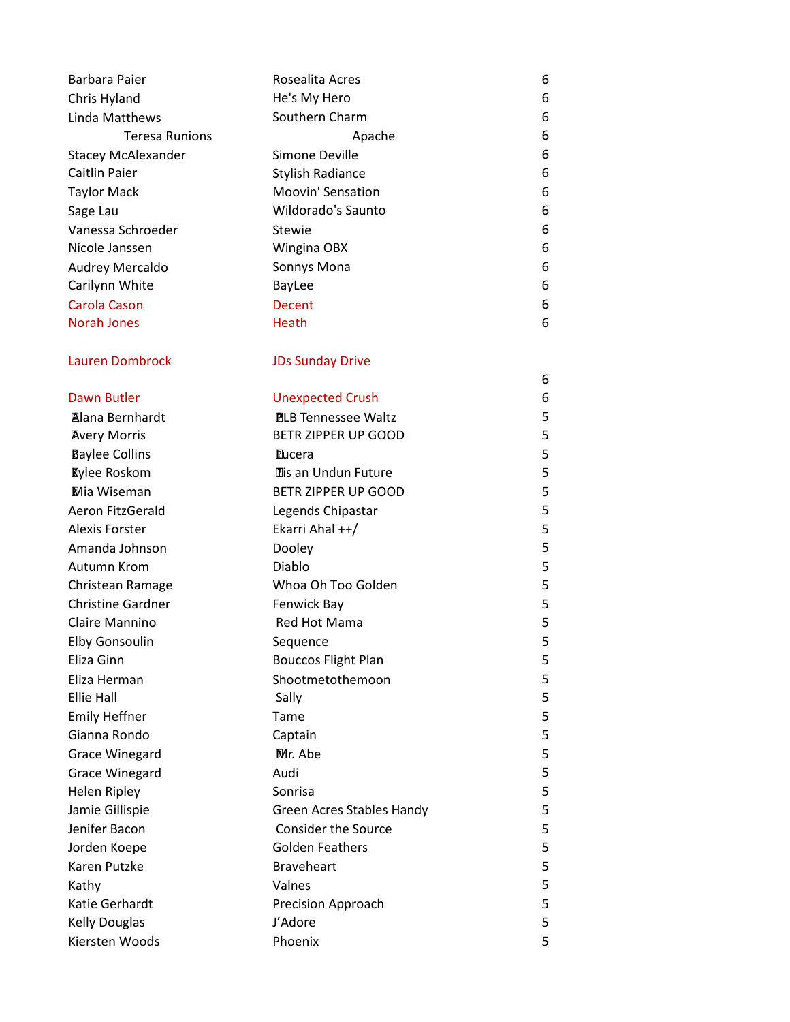| Barbara Paier                                | Rosealita Acres                                | 6      |
|----------------------------------------------|------------------------------------------------|--------|
| Chris Hyland                                 | He's My Hero                                   | 6      |
| Linda Matthews                               | Southern Charm                                 | 6      |
| <b>Teresa Runions</b>                        | Apache                                         | 6      |
| <b>Stacey McAlexander</b>                    | Simone Deville                                 | 6      |
| <b>Caitlin Paier</b>                         | <b>Stylish Radiance</b>                        | 6      |
| <b>Taylor Mack</b>                           | Moovin' Sensation                              | 6      |
| Sage Lau                                     | Wildorado's Saunto                             | 6      |
| Vanessa Schroeder                            | <b>Stewie</b>                                  | 6      |
| Nicole Janssen                               | Wingina OBX                                    | 6      |
| Audrey Mercaldo                              | Sonnys Mona                                    | 6      |
| Carilynn White                               | BayLee                                         | 6      |
| <b>Carola Cason</b>                          | Decent                                         | 6      |
| <b>Norah Jones</b>                           | Heath                                          | 6      |
| <b>Lauren Dombrock</b>                       | <b>JDs Sunday Drive</b>                        |        |
|                                              |                                                | 6      |
| Dawn Butler                                  | <b>Unexpected Crush</b>                        | 6      |
| <b>Alana Bernhardt</b>                       | <b>PLB Tennessee Waltz</b>                     | 5      |
| <b>Avery Morris</b>                          | BETR ZIPPER UP GOOD                            | 5      |
| <b>Baylee Collins</b>                        | <b>Eucera</b>                                  | 5      |
| <b>Kylee Roskom</b>                          | Tis an Undun Future                            | 5      |
| Mia Wiseman                                  | BETR ZIPPER UP GOOD                            | 5      |
| Aeron FitzGerald                             | Legends Chipastar                              | 5      |
| <b>Alexis Forster</b>                        | Ekarri Ahal ++/                                | 5      |
| Amanda Johnson                               | Dooley                                         | 5      |
| Autumn Krom                                  | Diablo                                         | 5      |
| Christean Ramage<br><b>Christine Gardner</b> | Whoa Oh Too Golden                             | 5      |
|                                              | Fenwick Bay                                    | 5      |
| Claire Mannino                               | Red Hot Mama                                   | 5<br>5 |
| <b>Elby Gonsoulin</b>                        | Sequence                                       |        |
| Eliza Ginn                                   | <b>Bouccos Flight Plan</b><br>Shootmetothemoon | 5<br>5 |
| Eliza Herman<br><b>Ellie Hall</b>            |                                                | 5      |
| <b>Emily Heffner</b>                         | Sally<br>Tame                                  | 5      |
| Gianna Rondo                                 |                                                | 5      |
| <b>Grace Winegard</b>                        | Captain<br>Mr. Abe                             | 5      |
| <b>Grace Winegard</b>                        | Audi                                           | 5      |
| <b>Helen Ripley</b>                          | Sonrisa                                        | 5      |
| Jamie Gillispie                              | <b>Green Acres Stables Handy</b>               | 5      |
| Jenifer Bacon                                | <b>Consider the Source</b>                     | 5      |
|                                              | <b>Golden Feathers</b>                         | 5      |
| Jorden Koepe<br>Karen Putzke                 | <b>Braveheart</b>                              | 5      |
|                                              | Valnes                                         | 5      |
| Kathy<br>Katie Gerhardt                      | <b>Precision Approach</b>                      | 5      |
| <b>Kelly Douglas</b>                         | J'Adore                                        | 5      |
| Kiersten Woods                               | Phoenix                                        | 5      |
|                                              |                                                |        |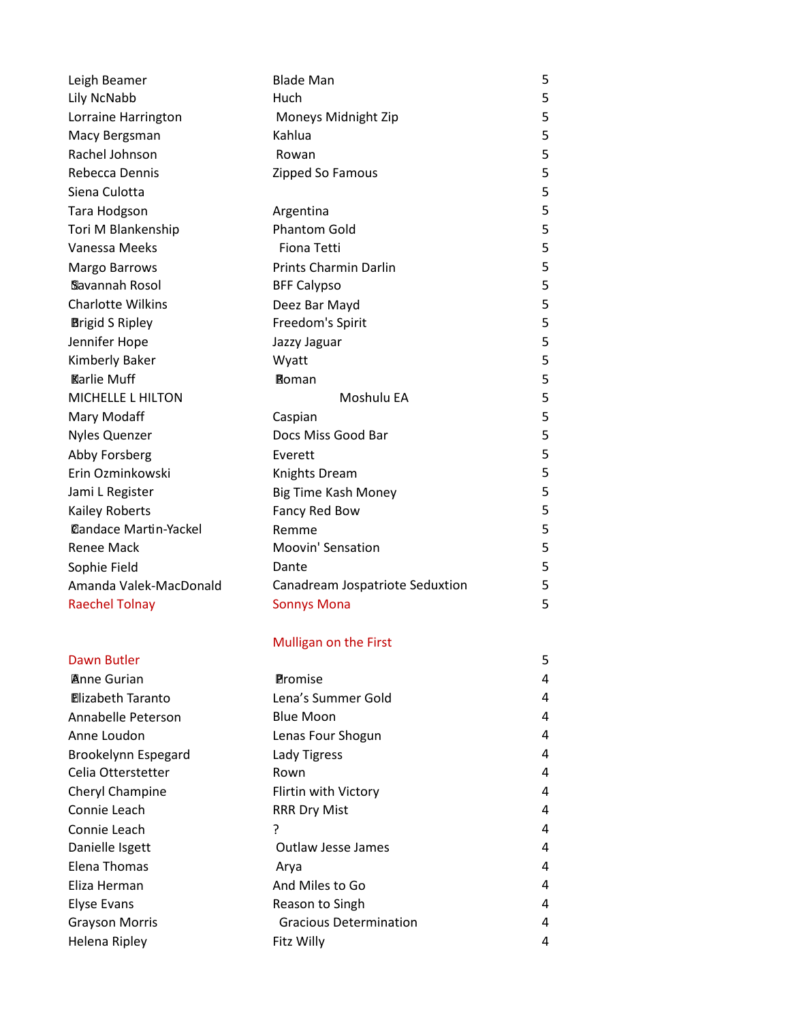| Leigh Beamer                 | <b>Blade Man</b>                | 5 |
|------------------------------|---------------------------------|---|
| Lily NcNabb                  | Huch                            | 5 |
| Lorraine Harrington          | Moneys Midnight Zip             | 5 |
| Macy Bergsman                | Kahlua                          | 5 |
| Rachel Johnson               | Rowan                           | 5 |
| Rebecca Dennis               | Zipped So Famous                | 5 |
| Siena Culotta                |                                 | 5 |
| Tara Hodgson                 | Argentina                       | 5 |
| Tori M Blankenship           | <b>Phantom Gold</b>             | 5 |
| Vanessa Meeks                | <b>Fiona Tetti</b>              | 5 |
| <b>Margo Barrows</b>         | Prints Charmin Darlin           | 5 |
| Slavannah Rosol              | <b>BFF Calypso</b>              | 5 |
| <b>Charlotte Wilkins</b>     | Deez Bar Mayd                   | 5 |
| <b>Brigid S Ripley</b>       | Freedom's Spirit                | 5 |
| Jennifer Hope                | Jazzy Jaguar                    | 5 |
| Kimberly Baker               | Wyatt                           | 5 |
| <b>Karlie Muff</b>           | <b>Roman</b>                    | 5 |
| <b>MICHELLE L HILTON</b>     | Moshulu EA                      | 5 |
| Mary Modaff                  | Caspian                         | 5 |
| <b>Nyles Quenzer</b>         | Docs Miss Good Bar              | 5 |
| Abby Forsberg                | Everett                         | 5 |
| Erin Ozminkowski             | Knights Dream                   | 5 |
| Jami L Register              | Big Time Kash Money             | 5 |
| <b>Kailey Roberts</b>        | Fancy Red Bow                   | 5 |
| <b>Dandace Martin-Yackel</b> | Remme                           | 5 |
| <b>Renee Mack</b>            | <b>Moovin' Sensation</b>        | 5 |
| Sophie Field                 | Dante                           | 5 |
| Amanda Valek-MacDonald       | Canadream Jospatriote Seduxtion | 5 |
| <b>Raechel Tolnay</b>        | <b>Sonnys Mona</b>              | 5 |
|                              | Mulligan on the First           |   |
| Dawn Butler                  |                                 | 5 |
| <b>Anne Gurian</b>           | <b>Promise</b>                  | 4 |
| <b>Elizabeth Taranto</b>     | Lena's Summer Gold              | 4 |
| Annabelle Peterson           | <b>Blue Moon</b>                | 4 |
| Anne Loudon                  | Lenas Four Shogun               | 4 |
| Brookelynn Espegard          | Lady Tigress                    | 4 |
| Celia Otterstetter           | Rown                            | 4 |
| Cheryl Champine              | Flirtin with Victory            | 4 |
| Connie Leach                 | <b>RRR Dry Mist</b>             | 4 |
| Connie Leach                 | ?                               | 4 |
| Danielle Isgett              | <b>Outlaw Jesse James</b>       | 4 |
| <b>Elena Thomas</b>          | Arya                            | 4 |
| Eliza Herman                 | And Miles to Go                 | 4 |
| <b>Elyse Evans</b>           | Reason to Singh                 | 4 |
| <b>Grayson Morris</b>        | <b>Gracious Determination</b>   | 4 |
| Helena Ripley                | Fitz Willy                      | 4 |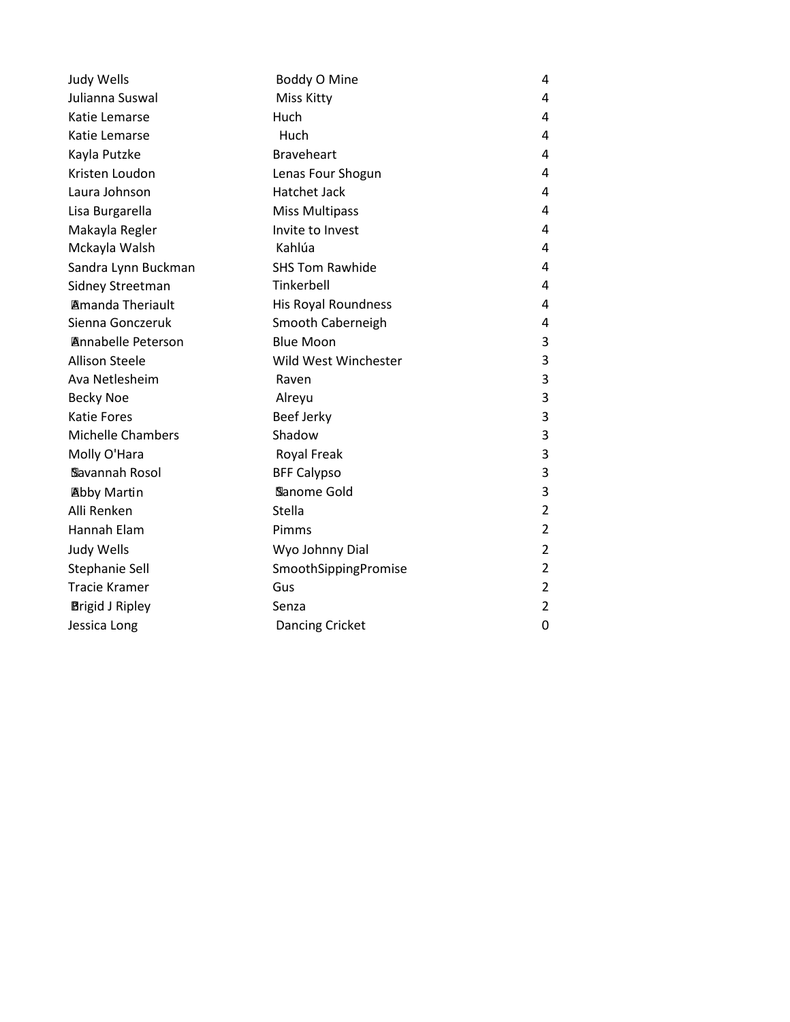| Judy Wells                | Boddy O Mine               | 4              |
|---------------------------|----------------------------|----------------|
| Julianna Suswal           | Miss Kitty                 | 4              |
| Katie Lemarse             | Huch                       | 4              |
| Katie Lemarse             | Huch                       | 4              |
| Kayla Putzke              | <b>Braveheart</b>          | 4              |
| Kristen Loudon            | Lenas Four Shogun          | 4              |
| Laura Johnson             | <b>Hatchet Jack</b>        | 4              |
| Lisa Burgarella           | <b>Miss Multipass</b>      | 4              |
| Makayla Regler            | Invite to Invest           | 4              |
| Mckayla Walsh             | Kahlúa                     | 4              |
| Sandra Lynn Buckman       | <b>SHS Tom Rawhide</b>     | 4              |
| Sidney Streetman          | Tinkerbell                 | 4              |
| <b>Amanda Theriault</b>   | <b>His Royal Roundness</b> | 4              |
| Sienna Gonczeruk          | Smooth Caberneigh          | 4              |
| <b>Annabelle Peterson</b> | <b>Blue Moon</b>           | 3              |
| <b>Allison Steele</b>     | Wild West Winchester       | 3              |
| Ava Netlesheim            | Raven                      | 3              |
| <b>Becky Noe</b>          | Alreyu                     | 3              |
| <b>Katie Fores</b>        | <b>Beef Jerky</b>          | 3              |
| <b>Michelle Chambers</b>  | Shadow                     | 3              |
| Molly O'Hara              | <b>Royal Freak</b>         | 3              |
| Savannah Rosol            | <b>BFF Calypso</b>         | 3              |
| <b>Abby Martin</b>        | Sanome Gold                | 3              |
| Alli Renken               | Stella                     | $\overline{2}$ |
| Hannah Elam               | Pimms                      | $\overline{2}$ |
| Judy Wells                | Wyo Johnny Dial            | $\overline{2}$ |
| Stephanie Sell            | SmoothSippingPromise       | $\overline{2}$ |
| <b>Tracie Kramer</b>      | Gus                        | $\overline{2}$ |
| <b>Brigid J Ripley</b>    | Senza                      | $\overline{2}$ |
| Jessica Long              | <b>Dancing Cricket</b>     | 0              |